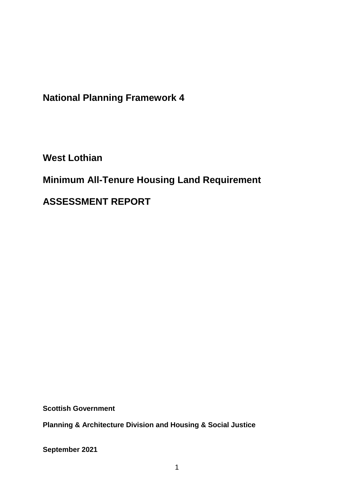**National Planning Framework 4**

**West Lothian**

**Minimum All-Tenure Housing Land Requirement** 

**ASSESSMENT REPORT**

**Scottish Government**

**Planning & Architecture Division and Housing & Social Justice** 

**September 2021**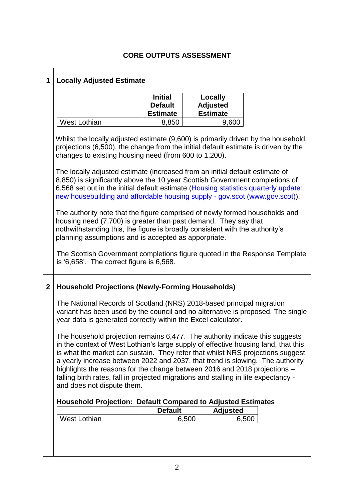| <b>CORE OUTPUTS ASSESSMENT</b>        |                                                     |                                                                            |       |                                                                                                                                                                                                                                                                                                                                                                                                                                                                                                                                                                                                                                                                                                                                                                                                                                                                                                                                                                                                                                                                                                                                                                                                                                                                                                                                                                                                                                                                                                                                                                                                                                                                                                                                                                                                                                                                                                |  |  |
|---------------------------------------|-----------------------------------------------------|----------------------------------------------------------------------------|-------|------------------------------------------------------------------------------------------------------------------------------------------------------------------------------------------------------------------------------------------------------------------------------------------------------------------------------------------------------------------------------------------------------------------------------------------------------------------------------------------------------------------------------------------------------------------------------------------------------------------------------------------------------------------------------------------------------------------------------------------------------------------------------------------------------------------------------------------------------------------------------------------------------------------------------------------------------------------------------------------------------------------------------------------------------------------------------------------------------------------------------------------------------------------------------------------------------------------------------------------------------------------------------------------------------------------------------------------------------------------------------------------------------------------------------------------------------------------------------------------------------------------------------------------------------------------------------------------------------------------------------------------------------------------------------------------------------------------------------------------------------------------------------------------------------------------------------------------------------------------------------------------------|--|--|
| 1<br><b>Locally Adjusted Estimate</b> |                                                     |                                                                            |       |                                                                                                                                                                                                                                                                                                                                                                                                                                                                                                                                                                                                                                                                                                                                                                                                                                                                                                                                                                                                                                                                                                                                                                                                                                                                                                                                                                                                                                                                                                                                                                                                                                                                                                                                                                                                                                                                                                |  |  |
|                                       | <b>Initial</b><br><b>Default</b><br><b>Estimate</b> |                                                                            |       |                                                                                                                                                                                                                                                                                                                                                                                                                                                                                                                                                                                                                                                                                                                                                                                                                                                                                                                                                                                                                                                                                                                                                                                                                                                                                                                                                                                                                                                                                                                                                                                                                                                                                                                                                                                                                                                                                                |  |  |
| <b>West Lothian</b>                   | 8,850                                               |                                                                            | 9,600 |                                                                                                                                                                                                                                                                                                                                                                                                                                                                                                                                                                                                                                                                                                                                                                                                                                                                                                                                                                                                                                                                                                                                                                                                                                                                                                                                                                                                                                                                                                                                                                                                                                                                                                                                                                                                                                                                                                |  |  |
|                                       |                                                     |                                                                            |       |                                                                                                                                                                                                                                                                                                                                                                                                                                                                                                                                                                                                                                                                                                                                                                                                                                                                                                                                                                                                                                                                                                                                                                                                                                                                                                                                                                                                                                                                                                                                                                                                                                                                                                                                                                                                                                                                                                |  |  |
| <b>West Lothian</b>                   | <b>Default</b>                                      |                                                                            | 6,500 |                                                                                                                                                                                                                                                                                                                                                                                                                                                                                                                                                                                                                                                                                                                                                                                                                                                                                                                                                                                                                                                                                                                                                                                                                                                                                                                                                                                                                                                                                                                                                                                                                                                                                                                                                                                                                                                                                                |  |  |
|                                       |                                                     | is $6,658$ . The correct figure is $6,568$ .<br>and does not dispute them. | 6,500 | Locally<br><b>Adjusted</b><br><b>Estimate</b><br>Whilst the locally adjusted estimate (9,600) is primarily driven by the household<br>projections (6,500), the change from the initial default estimate is driven by the<br>changes to existing housing need (from 600 to 1,200).<br>The locally adjusted estimate (increased from an initial default estimate of<br>8,850) is significantly above the 10 year Scottish Government completions of<br>6,568 set out in the initial default estimate (Housing statistics quarterly update:<br>new housebuilding and affordable housing supply - gov.scot (www.gov.scot)).<br>The authority note that the figure comprised of newly formed households and<br>housing need (7,700) is greater than past demand. They say that<br>nothwithstanding this, the figure is broadly consistent with the authority's<br>planning assumptions and is accepted as apporpriate.<br>The Scottish Government completions figure quoted in the Response Template<br><b>Household Projections (Newly-Forming Households)</b><br>The National Records of Scotland (NRS) 2018-based principal migration<br>variant has been used by the council and no alternative is proposed. The single<br>year data is generated correctly within the Excel calculator.<br>The household projection remains 6,477. The authority indicate this suggests<br>in the context of West Lothian's large supply of effective housing land, that this<br>is what the market can sustain. They refer that whilst NRS projections suggest<br>a yearly increase between 2022 and 2037, that trend is slowing. The authority<br>highlights the reasons for the change between 2016 and 2018 projections -<br>falling birth rates, fall in projected migrations and stalling in life expectancy -<br><b>Household Projection: Default Compared to Adjusted Estimates</b><br><b>Adjusted</b> |  |  |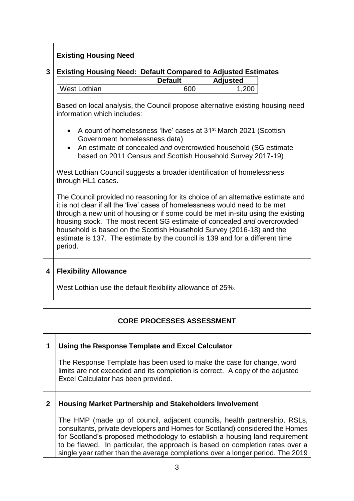# **Existing Housing Need**

### **3 Existing Housing Need: Default Compared to Adjusted Estimates**

|              | <b>Default</b> | <b>Adjusted</b> |
|--------------|----------------|-----------------|
| West Lothian | ≏∩∩            | 200             |

Based on local analysis, the Council propose alternative existing housing need information which includes:

- A count of homelessness 'live' cases at 31<sup>st</sup> March 2021 (Scottish Government homelessness data)
- An estimate of concealed *and* overcrowded household (SG estimate based on 2011 Census and Scottish Household Survey 2017-19)

West Lothian Council suggests a broader identification of homelessness through HL1 cases.

The Council provided no reasoning for its choice of an alternative estimate and it is not clear if all the 'live' cases of homelessness would need to be met through a new unit of housing or if some could be met in-situ using the existing housing stock. The most recent SG estimate of concealed *and* overcrowded household is based on the Scottish Household Survey (2016-18) and the estimate is 137. The estimate by the council is 139 and for a different time period.

## **4 Flexibility Allowance**

West Lothian use the default flexibility allowance of 25%.

## **CORE PROCESSES ASSESSMENT**

#### **1 Using the Response Template and Excel Calculator**

The Response Template has been used to make the case for change, word limits are not exceeded and its completion is correct. A copy of the adjusted Excel Calculator has been provided.

#### **2 Housing Market Partnership and Stakeholders Involvement**

The HMP (made up of council, adjacent councils, health partnership, RSLs, consultants, private developers and Homes for Scotland) considered the Homes for Scotland's proposed methodology to establish a housing land requirement to be flawed. In particular, the approach is based on completion rates over a single year rather than the average completions over a longer period. The 2019